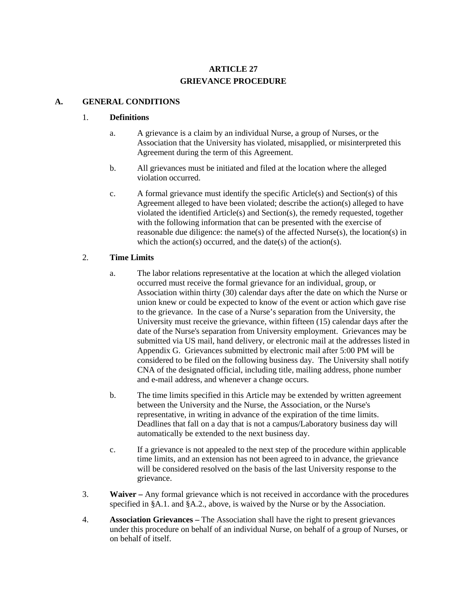# **ARTICLE 27 GRIEVANCE PROCEDURE**

#### **A. GENERAL CONDITIONS**

#### 1. **Definitions**

- a. A grievance is a claim by an individual Nurse, a group of Nurses, or the Association that the University has violated, misapplied, or misinterpreted this Agreement during the term of this Agreement.
- b. All grievances must be initiated and filed at the location where the alleged violation occurred.
- c. A formal grievance must identify the specific Article(s) and Section(s) of this Agreement alleged to have been violated; describe the action(s) alleged to have violated the identified Article(s) and Section(s), the remedy requested, together with the following information that can be presented with the exercise of reasonable due diligence: the name(s) of the affected Nurse(s), the location(s) in which the action(s) occurred, and the date(s) of the action(s).

#### 2. **Time Limits**

- a. The labor relations representative at the location at which the alleged violation occurred must receive the formal grievance for an individual, group, or Association within thirty (30) calendar days after the date on which the Nurse or union knew or could be expected to know of the event or action which gave rise to the grievance. In the case of a Nurse's separation from the University, the University must receive the grievance, within fifteen (15) calendar days after the date of the Nurse's separation from University employment. Grievances may be submitted via US mail, hand delivery, or electronic mail at the addresses listed in Appendix G. Grievances submitted by electronic mail after 5:00 PM will be considered to be filed on the following business day. The University shall notify CNA of the designated official, including title, mailing address, phone number and e-mail address, and whenever a change occurs.
- b. The time limits specified in this Article may be extended by written agreement between the University and the Nurse, the Association, or the Nurse's representative, in writing in advance of the expiration of the time limits. Deadlines that fall on a day that is not a campus/Laboratory business day will automatically be extended to the next business day.
- c. If a grievance is not appealed to the next step of the procedure within applicable time limits, and an extension has not been agreed to in advance, the grievance will be considered resolved on the basis of the last University response to the grievance.
- 3. **Waiver –** Any formal grievance which is not received in accordance with the procedures specified in §A.1. and §A.2., above, is waived by the Nurse or by the Association.
- 4. **Association Grievances –** The Association shall have the right to present grievances under this procedure on behalf of an individual Nurse, on behalf of a group of Nurses, or on behalf of itself.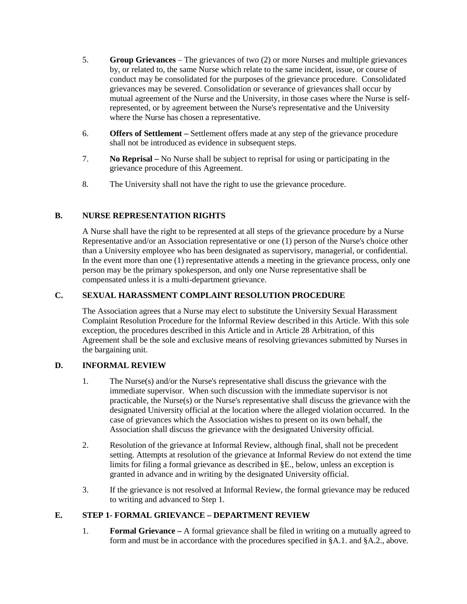- 5. **Group Grievances** The grievances of two (2) or more Nurses and multiple grievances by, or related to, the same Nurse which relate to the same incident, issue, or course of conduct may be consolidated for the purposes of the grievance procedure. Consolidated grievances may be severed. Consolidation or severance of grievances shall occur by mutual agreement of the Nurse and the University, in those cases where the Nurse is selfrepresented, or by agreement between the Nurse's representative and the University where the Nurse has chosen a representative.
- 6. **Offers of Settlement –** Settlement offers made at any step of the grievance procedure shall not be introduced as evidence in subsequent steps.
- 7. **No Reprisal –** No Nurse shall be subject to reprisal for using or participating in the grievance procedure of this Agreement.
- 8. The University shall not have the right to use the grievance procedure.

# **B. NURSE REPRESENTATION RIGHTS**

A Nurse shall have the right to be represented at all steps of the grievance procedure by a Nurse Representative and/or an Association representative or one (1) person of the Nurse's choice other than a University employee who has been designated as supervisory, managerial, or confidential. In the event more than one (1) representative attends a meeting in the grievance process, only one person may be the primary spokesperson, and only one Nurse representative shall be compensated unless it is a multi-department grievance.

### **C. SEXUAL HARASSMENT COMPLAINT RESOLUTION PROCEDURE**

The Association agrees that a Nurse may elect to substitute the University Sexual Harassment Complaint Resolution Procedure for the Informal Review described in this Article. With this sole exception, the procedures described in this Article and in Article 28 Arbitration, of this Agreement shall be the sole and exclusive means of resolving grievances submitted by Nurses in the bargaining unit.

### **D. INFORMAL REVIEW**

- 1. The Nurse(s) and/or the Nurse's representative shall discuss the grievance with the immediate supervisor. When such discussion with the immediate supervisor is not practicable, the Nurse(s) or the Nurse's representative shall discuss the grievance with the designated University official at the location where the alleged violation occurred. In the case of grievances which the Association wishes to present on its own behalf, the Association shall discuss the grievance with the designated University official.
- 2. Resolution of the grievance at Informal Review, although final, shall not be precedent setting. Attempts at resolution of the grievance at Informal Review do not extend the time limits for filing a formal grievance as described in §E., below, unless an exception is granted in advance and in writing by the designated University official.
- 3. If the grievance is not resolved at Informal Review, the formal grievance may be reduced to writing and advanced to Step 1.

### **E. STEP 1- FORMAL GRIEVANCE – DEPARTMENT REVIEW**

1. **Formal Grievance –** A formal grievance shall be filed in writing on a mutually agreed to form and must be in accordance with the procedures specified in §A.1. and §A.2., above.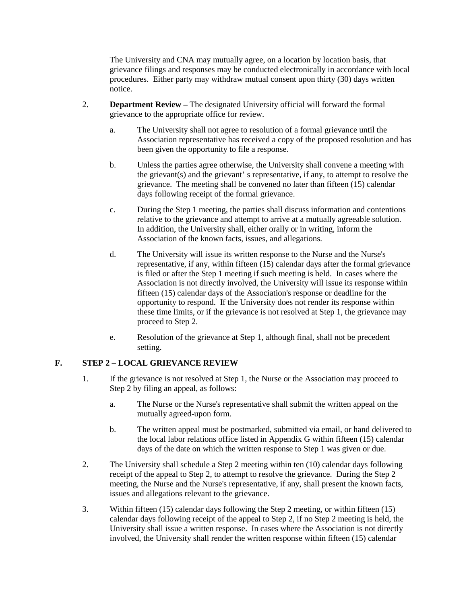The University and CNA may mutually agree, on a location by location basis, that grievance filings and responses may be conducted electronically in accordance with local procedures. Either party may withdraw mutual consent upon thirty (30) days written notice.

- 2. **Department Review –** The designated University official will forward the formal grievance to the appropriate office for review.
	- a. The University shall not agree to resolution of a formal grievance until the Association representative has received a copy of the proposed resolution and has been given the opportunity to file a response.
	- b. Unless the parties agree otherwise, the University shall convene a meeting with the grievant(s) and the grievant' s representative, if any, to attempt to resolve the grievance. The meeting shall be convened no later than fifteen (15) calendar days following receipt of the formal grievance.
	- c. During the Step 1 meeting, the parties shall discuss information and contentions relative to the grievance and attempt to arrive at a mutually agreeable solution. In addition, the University shall, either orally or in writing, inform the Association of the known facts, issues, and allegations.
	- d. The University will issue its written response to the Nurse and the Nurse's representative, if any, within fifteen (15) calendar days after the formal grievance is filed or after the Step 1 meeting if such meeting is held. In cases where the Association is not directly involved, the University will issue its response within fifteen (15) calendar days of the Association's response or deadline for the opportunity to respond. If the University does not render its response within these time limits, or if the grievance is not resolved at Step 1, the grievance may proceed to Step 2.
	- e. Resolution of the grievance at Step 1, although final, shall not be precedent setting.

### **F. STEP 2 – LOCAL GRIEVANCE REVIEW**

- 1. If the grievance is not resolved at Step 1, the Nurse or the Association may proceed to Step 2 by filing an appeal, as follows:
	- a. The Nurse or the Nurse's representative shall submit the written appeal on the mutually agreed-upon form.
	- b. The written appeal must be postmarked, submitted via email, or hand delivered to the local labor relations office listed in Appendix G within fifteen (15) calendar days of the date on which the written response to Step 1 was given or due.
- 2. The University shall schedule a Step 2 meeting within ten (10) calendar days following receipt of the appeal to Step 2, to attempt to resolve the grievance. During the Step 2 meeting, the Nurse and the Nurse's representative, if any, shall present the known facts, issues and allegations relevant to the grievance.
- 3. Within fifteen (15) calendar days following the Step 2 meeting, or within fifteen (15) calendar days following receipt of the appeal to Step 2, if no Step 2 meeting is held, the University shall issue a written response. In cases where the Association is not directly involved, the University shall render the written response within fifteen (15) calendar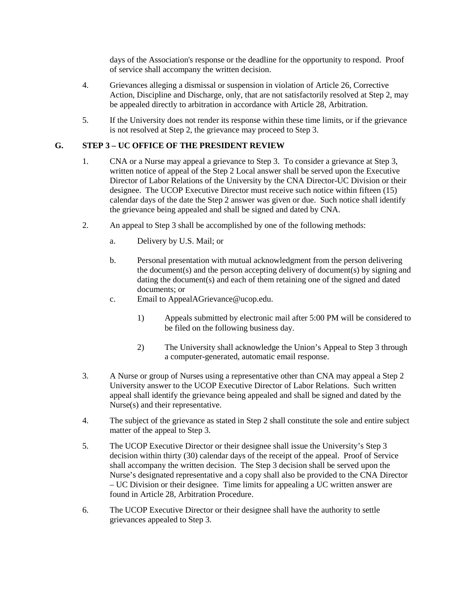days of the Association's response or the deadline for the opportunity to respond. Proof of service shall accompany the written decision.

- 4. Grievances alleging a dismissal or suspension in violation of Article 26, Corrective Action, Discipline and Discharge, only, that are not satisfactorily resolved at Step 2, may be appealed directly to arbitration in accordance with Article 28, Arbitration.
- 5. If the University does not render its response within these time limits, or if the grievance is not resolved at Step 2, the grievance may proceed to Step 3.

#### **G. STEP 3 – UC OFFICE OF THE PRESIDENT REVIEW**

- 1. CNA or a Nurse may appeal a grievance to Step 3. To consider a grievance at Step 3, written notice of appeal of the Step 2 Local answer shall be served upon the Executive Director of Labor Relations of the University by the CNA Director-UC Division or their designee. The UCOP Executive Director must receive such notice within fifteen (15) calendar days of the date the Step 2 answer was given or due. Such notice shall identify the grievance being appealed and shall be signed and dated by CNA.
- 2. An appeal to Step 3 shall be accomplished by one of the following methods:
	- a. Delivery by U.S. Mail; or
	- b. Personal presentation with mutual acknowledgment from the person delivering the document(s) and the person accepting delivery of document(s) by signing and dating the document(s) and each of them retaining one of the signed and dated documents; or
	- c. Email to AppealAGrievance@ucop.edu.
		- 1) Appeals submitted by electronic mail after 5:00 PM will be considered to be filed on the following business day.
		- 2) The University shall acknowledge the Union's Appeal to Step 3 through a computer-generated, automatic email response.
- 3. A Nurse or group of Nurses using a representative other than CNA may appeal a Step 2 University answer to the UCOP Executive Director of Labor Relations. Such written appeal shall identify the grievance being appealed and shall be signed and dated by the Nurse(s) and their representative.
- 4. The subject of the grievance as stated in Step 2 shall constitute the sole and entire subject matter of the appeal to Step 3.
- 5. The UCOP Executive Director or their designee shall issue the University's Step 3 decision within thirty (30) calendar days of the receipt of the appeal. Proof of Service shall accompany the written decision. The Step 3 decision shall be served upon the Nurse's designated representative and a copy shall also be provided to the CNA Director – UC Division or their designee. Time limits for appealing a UC written answer are found in Article 28, Arbitration Procedure.
- 6. The UCOP Executive Director or their designee shall have the authority to settle grievances appealed to Step 3.